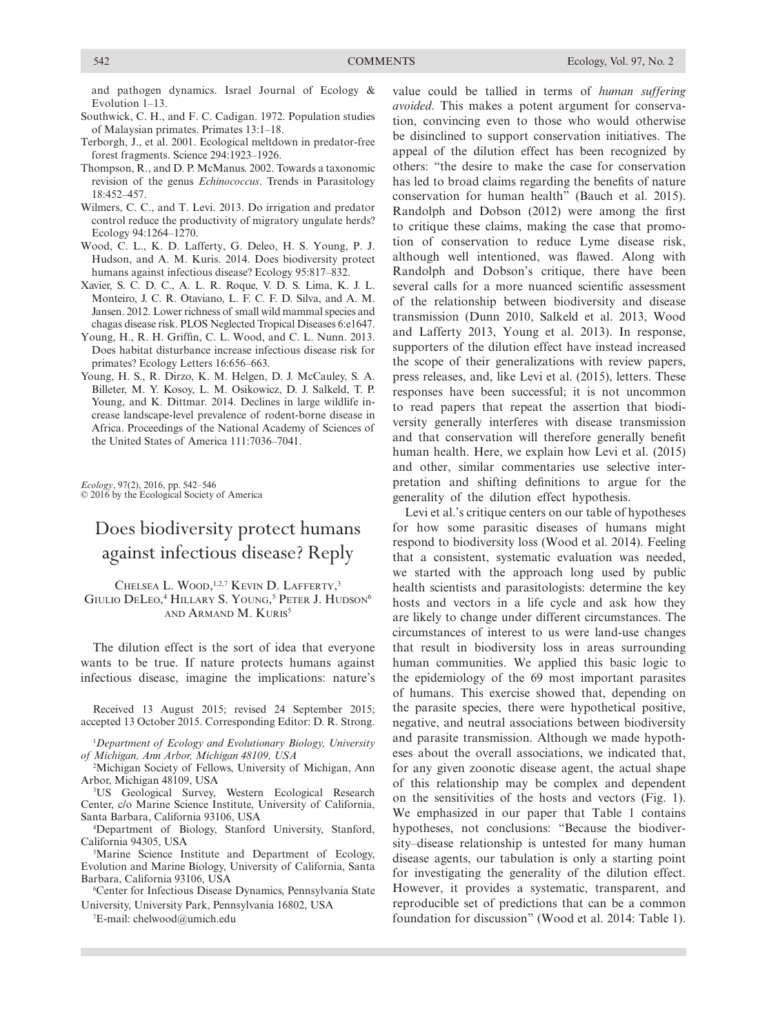and pathogen dynamics. Israel Journal of Ecology & Evolution  $1-13$ .

- Southwick, C. H., and F. C. Cadigan. 1972. Population studies of Malaysian primates. Primates 13:1-18.
- Terborgh, J., et al. 2001. Ecological meltdown in predator-free forest fragments. Science 294:1923-1926.
- Thompson, R., and D. P. McManus. 2002. Towards a taxonomic revision of the genus *Echinococcus* . Trends in Parasitology  $18.452 - 457$
- Wilmers, C. C., and T. Levi. 2013. Do irrigation and predator control reduce the productivity of migratory ungulate herds? Ecology 94:1264-1270.
- Wood, C. L., K. D. Lafferty, G. Deleo, H. S. Young, P. J. Hudson, and A. M. Kuris. 2014. Does biodiversity protect humans against infectious disease? Ecology 95:817-832.
- Xavier, S. C. D. C., A. L. R. Roque, V. D. S. Lima, K. J. L. Monteiro, J. C. R. Otaviano, L. F. C. F. D. Silva, and A. M. Jansen. 2012. Lower richness of small wild mammal species and chagas disease risk. PLOS Neglected Tropical Diseases 6:e1647.
- Young, H., R. H. Griffin, C. L. Wood, and C. L. Nunn. 2013. Does habitat disturbance increase infectious disease risk for primates? Ecology Letters 16:656-663.
- Young, H. S., R. Dirzo, K. M. Helgen, D. J. McCauley, S. A. Billeter, M. Y. Kosoy, L. M. Osikowicz, D. J. Salkeld, T. P. Young, and K. Dittmar. 2014. Declines in large wildlife increase landscape- level prevalence of rodent- borne disease in Africa . Proceedings of the National Academy of Sciences of the United States of America 111:7036-7041.

*Ecology*, 97(2), 2016, pp. 542–546 © 2016 by the Ecological Society of America

## Does biodiversity protect humans against infectious disease? Reply

CHELSEA L. WOOD,<sup>1,2,7</sup> KEVIN D. LAFFERTY,<sup>3</sup> GIULIO DELEO,<sup>4</sup> HILLARY S. YOUNG,<sup>5</sup> PETER J. HUDSON<sup>6</sup> AND ARMAND M. KURIS<sup>5</sup>

 The dilution effect is the sort of idea that everyone wants to be true. If nature protects humans against infectious disease, imagine the implications: nature's

Received 13 August 2015; revised 24 September 2015; accepted 13 October 2015 . Corresponding Editor: D. R. Strong.

<sup>1</sup>*Department of Ecology and Evolutionary Biology , University of Michigan , Ann Arbor , Michigan 48109 , USA* 

<sup>2</sup> Michigan Society of Fellows, University of Michigan, Ann Arbor, Michigan 48109, USA

<sup>3</sup>US Geological Survey, Western Ecological Research Center, c/o Marine Science Institute, University of California, Santa Barbara, California 93106, USA

<sup>4</sup>Department of Biology, Stanford University, Stanford, California 94305 USA

<sup>5</sup>Marine Science Institute and Department of Ecology, Evolution and Marine Biology , University of California , Santa

<sup>6</sup>Center for Infectious Disease Dynamics, Pennsylvania State University, University Park, Pennsylvania 16802, USA

E-mail: chelwood@umich.edu

value could be tallied in terms of *human suffering avoided* . This makes a potent argument for conservation, convincing even to those who would otherwise be disinclined to support conservation initiatives. The appeal of the dilution effect has been recognized by others: "the desire to make the case for conservation has led to broad claims regarding the benefits of nature conservation for human health" (Bauch et al. 2015). Randolph and Dobson (2012) were among the first to critique these claims, making the case that promotion of conservation to reduce Lyme disease risk, although well intentioned, was flawed. Along with Randolph and Dobson's critique, there have been several calls for a more nuanced scientific assessment of the relationship between biodiversity and disease transmission (Dunn 2010, Salkeld et al. 2013, Wood and Lafferty 2013, Young et al. 2013). In response, supporters of the dilution effect have instead increased the scope of their generalizations with review papers, press releases, and, like Levi et al. (2015) , letters. These responses have been successful; it is not uncommon to read papers that repeat the assertion that biodiversity generally interferes with disease transmission and that conservation will therefore generally benefit human health. Here, we explain how Levi et al. (2015) and other, similar commentaries use selective interpretation and shifting definitions to argue for the generality of the dilution effect hypothesis.

Levi et al.'s critique centers on our table of hypotheses for how some parasitic diseases of humans might respond to biodiversity loss (Wood et al. 2014). Feeling that a consistent, systematic evaluation was needed, we started with the approach long used by public health scientists and parasitologists: determine the key hosts and vectors in a life cycle and ask how they are likely to change under different circumstances. The circumstances of interest to us were land-use changes that result in biodiversity loss in areas surrounding human communities. We applied this basic logic to the epidemiology of the 69 most important parasites of humans. This exercise showed that, depending on the parasite species, there were hypothetical positive, negative, and neutral associations between biodiversity and parasite transmission. Although we made hypotheses about the overall associations, we indicated that, for any given zoonotic disease agent, the actual shape of this relationship may be complex and dependent on the sensitivities of the hosts and vectors (Fig. 1). We emphasized in our paper that Table 1 contains hypotheses, not conclusions: "Because the biodiversity–disease relationship is untested for many human disease agents, our tabulation is only a starting point for investigating the generality of the dilution effect. However, it provides a systematic, transparent, and reproducible set of predictions that can be a common foundation for discussion" (Wood et al. 2014: Table 1).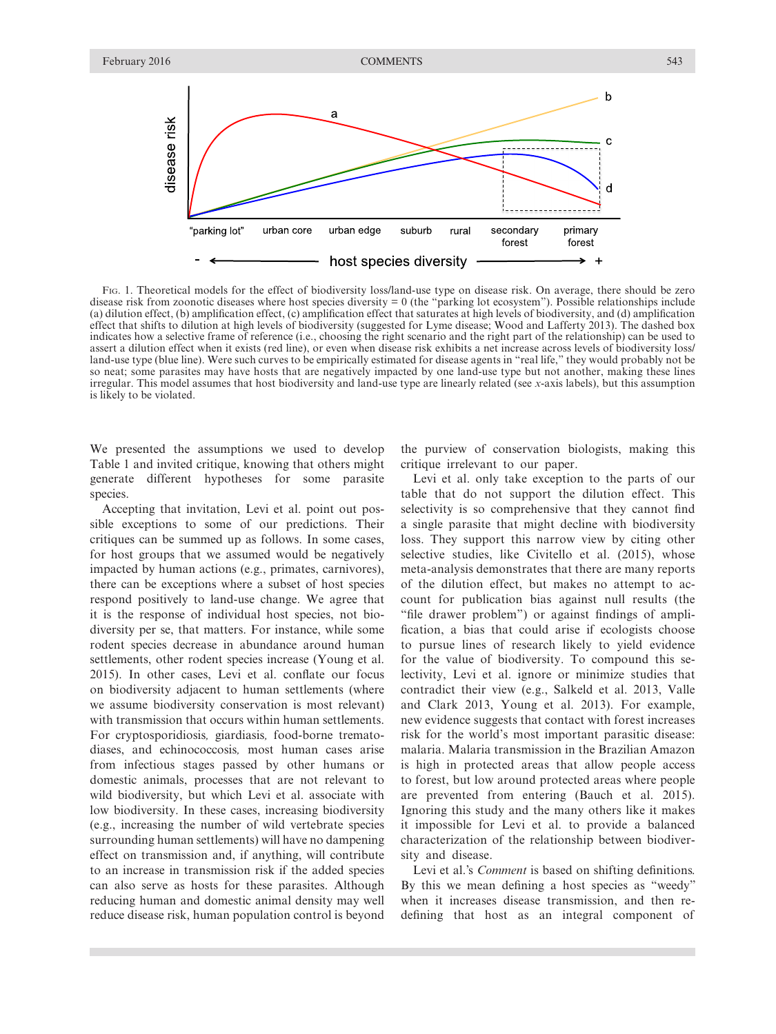

FIG. 1. Theoretical models for the effect of biodiversity loss/land-use type on disease risk. On average, there should be zero disease risk from zoonotic diseases where host species diversity = 0 (the "parking lot ecosystem"). Possible relationships include (a) dilution effect, (b) amplification effect, (c) amplification effect that saturates at high levels of biodiversity, and (d) amplification effect that shifts to dilution at high levels of biodiversity (suggested for Lyme disease; Wood and Lafferty 2013). The dashed box indicates how a selective frame of reference (i.e., choosing the right scenario and the right part of the relationship) can be used to assert a dilution effect when it exists (red line), or even when disease risk exhibits a net increase across levels of biodiversity loss/ land-use type (blue line). Were such curves to be empirically estimated for disease agents in "real life," they would probably not be so neat; some parasites may have hosts that are negatively impacted by one land-use type but not another, making these lines irregular. This model assumes that host biodiversity and land- use type are linearly related (see *x* - axis labels), but this assumption is likely to be violated.

We presented the assumptions we used to develop Table 1 and invited critique, knowing that others might generate different hypotheses for some parasite species.

Accepting that invitation, Levi et al. point out possible exceptions to some of our predictions. Their critiques can be summed up as follows. In some cases, for host groups that we assumed would be negatively impacted by human actions (e.g., primates, carnivores), there can be exceptions where a subset of host species respond positively to land-use change. We agree that it is the response of individual host species, not biodiversity per se, that matters. For instance, while some rodent species decrease in abundance around human settlements, other rodent species increase (Young et al. 2015). In other cases, Levi et al. conflate our focus on biodiversity adjacent to human settlements (where we assume biodiversity conservation is most relevant) with transmission that occurs within human settlements. For cryptosporidiosis, giardiasis, food-borne trematodiases, and echinococcosis, most human cases arise from infectious stages passed by other humans or domestic animals, processes that are not relevant to wild biodiversity, but which Levi et al. associate with low biodiversity. In these cases, increasing biodiversity (e.g., increasing the number of wild vertebrate species surrounding human settlements) will have no dampening effect on transmission and, if anything, will contribute to an increase in transmission risk if the added species can also serve as hosts for these parasites. Although reducing human and domestic animal density may well reduce disease risk, human population control is beyond the purview of conservation biologists, making this critique irrelevant to our paper.

 Levi et al. only take exception to the parts of our table that do not support the dilution effect. This selectivity is so comprehensive that they cannot find a single parasite that might decline with biodiversity loss. They support this narrow view by citing other selective studies, like Civitello et al. (2015), whose meta-analysis demonstrates that there are many reports of the dilution effect, but makes no attempt to account for publication bias against null results (the "file drawer problem") or against findings of amplification, a bias that could arise if ecologists choose to pursue lines of research likely to yield evidence for the value of biodiversity. To compound this selectivity, Levi et al. ignore or minimize studies that contradict their view (e.g., Salkeld et al. 2013, Valle and Clark 2013, Young et al. 2013). For example, new evidence suggests that contact with forest increases risk for the world's most important parasitic disease: malaria. Malaria transmission in the Brazilian Amazon is high in protected areas that allow people access to forest, but low around protected areas where people are prevented from entering (Bauch et al. 2015). Ignoring this study and the many others like it makes it impossible for Levi et al. to provide a balanced characterization of the relationship between biodiversity and disease.

Levi et al.'s *Comment* is based on shifting definitions. By this we mean defining a host species as "weedy" when it increases disease transmission, and then redefining that host as an integral component of

h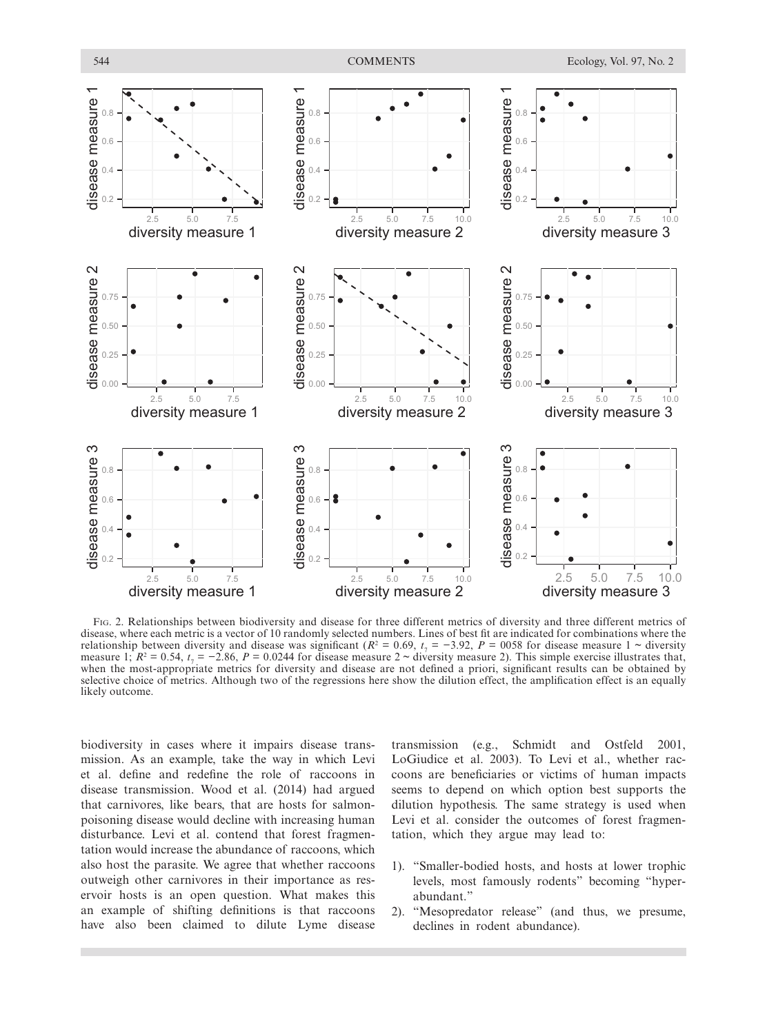

FIG. 2. Relationships between biodiversity and disease for three different metrics of diversity and three different metrics of disease, where each metric is a vector of 10 randomly selected numbers. Lines of best fi t are indicated for combinations where the relationship between diversity and disease was significant ( $R<sup>2</sup> = 0.69$ ,  $t<sub>1</sub> = -3.92$ ,  $P = 0058$  for disease measure 1 ~ diversity measure 1;  $R^2 = 0.54$ ,  $t<sub>z</sub> = -2.86$ ,  $P = 0.0244$  for disease measure 2 ~ diversity measure 2). This simple exercise illustrates that, when the most-appropriate metrics for diversity and disease are not defined a priori, significant results can be obtained by selective choice of metrics. Although two of the regressions here show the dilution effect, the amplification effect is an equally likely outcome.

biodiversity in cases where it impairs disease transmission. As an example, take the way in which Levi et al. define and redefine the role of raccoons in disease transmission. Wood et al. (2014) had argued that carnivores, like bears, that are hosts for salmonpoisoning disease would decline with increasing human disturbance. Levi et al. contend that forest fragmentation would increase the abundance of raccoons, which also host the parasite. We agree that whether raccoons outweigh other carnivores in their importance as reservoir hosts is an open question. What makes this an example of shifting definitions is that raccoons have also been claimed to dilute Lyme disease

transmission (e.g., Schmidt and Ostfeld 2001, LoGiudice et al. 2003). To Levi et al., whether raccoons are beneficiaries or victims of human impacts seems to depend on which option best supports the dilution hypothesis. The same strategy is used when Levi et al. consider the outcomes of forest fragmentation, which they argue may lead to:

- 1). "Smaller-bodied hosts, and hosts at lower trophic levels, most famously rodents" becoming "hyperabundant."
- 2) . "Mesopredator release" (and thus, we presume, declines in rodent abundance).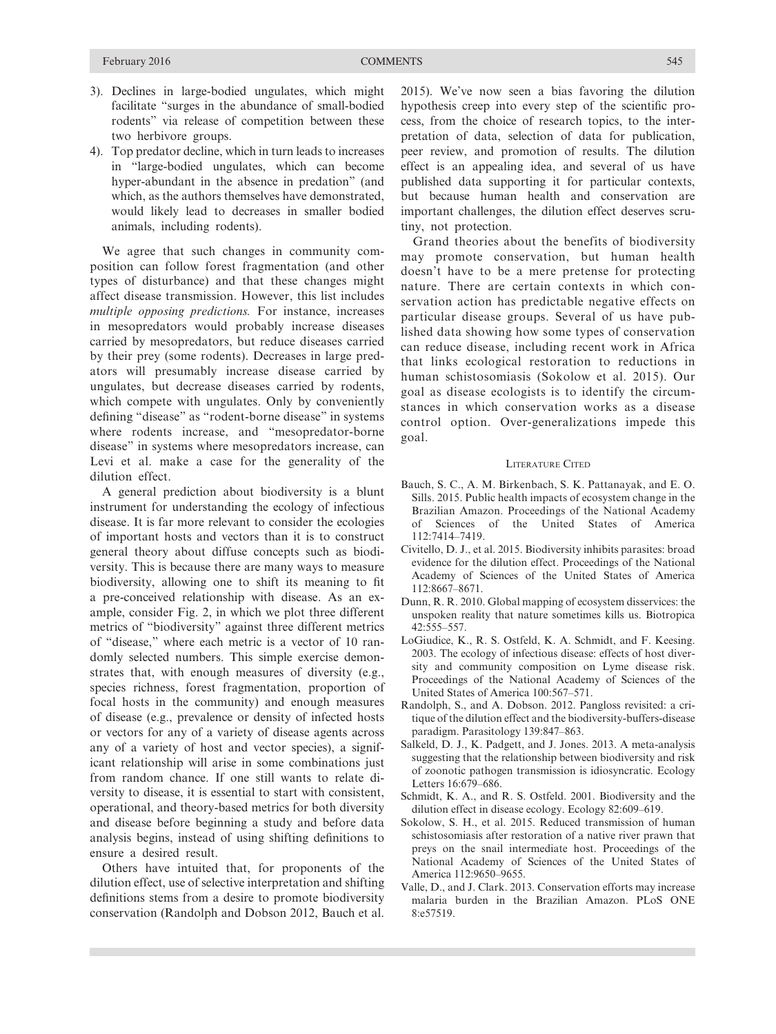- 3) . Declines in large-bodied ungulates, which might facilitate "surges in the abundance of small-bodied rodents" via release of competition between these two herbivore groups.
- 4) . Top predator decline, which in turn leads to increases in "large-bodied ungulates, which can become hyper-abundant in the absence in predation" (and which, as the authors themselves have demonstrated, would likely lead to decreases in smaller bodied animals, including rodents).

 We agree that such changes in community composition can follow forest fragmentation (and other types of disturbance) and that these changes might affect disease transmission. However, this list includes *multiple opposing predictions.* For instance, increases in mesopredators would probably increase diseases carried by mesopredators, but reduce diseases carried by their prey (some rodents). Decreases in large predators will presumably increase disease carried by ungulates, but decrease diseases carried by rodents, which compete with ungulates. Only by conveniently defining "disease" as "rodent-borne disease" in systems where rodents increase, and "mesopredator-borne disease" in systems where mesopredators increase, can Levi et al. make a case for the generality of the dilution effect.

 A general prediction about biodiversity is a blunt instrument for understanding the ecology of infectious disease. It is far more relevant to consider the ecologies of important hosts and vectors than it is to construct general theory about diffuse concepts such as biodiversity. This is because there are many ways to measure biodiversity, allowing one to shift its meaning to fit a pre- conceived relationship with disease. As an example, consider Fig. 2, in which we plot three different metrics of "biodiversity" against three different metrics of "disease," where each metric is a vector of 10 randomly selected numbers. This simple exercise demonstrates that, with enough measures of diversity (e.g., species richness, forest fragmentation, proportion of focal hosts in the community) and enough measures of disease (e.g., prevalence or density of infected hosts or vectors for any of a variety of disease agents across any of a variety of host and vector species), a significant relationship will arise in some combinations just from random chance. If one still wants to relate diversity to disease, it is essential to start with consistent, operational, and theory- based metrics for both diversity and disease before beginning a study and before data analysis begins, instead of using shifting definitions to ensure a desired result.

 Others have intuited that, for proponents of the dilution effect, use of selective interpretation and shifting definitions stems from a desire to promote biodiversity conservation (Randolph and Dobson 2012, Bauch et al.

2015). We've now seen a bias favoring the dilution hypothesis creep into every step of the scientific process, from the choice of research topics, to the interpretation of data, selection of data for publication, peer review, and promotion of results. The dilution effect is an appealing idea, and several of us have published data supporting it for particular contexts, but because human health and conservation are important challenges, the dilution effect deserves scrutiny, not protection.

 Grand theories about the benefits of biodiversity may promote conservation, but human health doesn't have to be a mere pretense for protecting nature. There are certain contexts in which conservation action has predictable negative effects on particular disease groups. Several of us have published data showing how some types of conservation can reduce disease, including recent work in Africa that links ecological restoration to reductions in human schistosomiasis (Sokolow et al. 2015). Our goal as disease ecologists is to identify the circumstances in which conservation works as a disease control option. Over-generalizations impede this goal.

## LITERATURE CITED

- Bauch, S. C., A. M. Birkenbach, S. K. Pattanayak, and E. O. Sills. 2015. Public health impacts of ecosystem change in the Brazilian Amazon. Proceedings of the National Academy of Sciences of the United States of America 112:7414-7419.
- Civitello, D. J., et al. 2015. Biodiversity inhibits parasites: broad evidence for the dilution effect. Proceedings of the National Academy of Sciences of the United States of America 112:8667-8671.
- Dunn, R. R. 2010. Global mapping of ecosystem disservices: the unspoken reality that nature sometimes kills us . Biotropica  $42.555 - 557$
- LoGiudice, K., R. S. Ostfeld, K. A. Schmidt, and F. Keesing. 2003 . The ecology of infectious disease: effects of host diversity and community composition on Lyme disease risk. Proceedings of the National Academy of Sciences of the United States of America 100:567-571.
- Randolph, S., and A. Dobson. 2012. Pangloss revisited: a critique of the dilution effect and the biodiversity- buffers- disease paradigm. Parasitology 139:847-863.
- Salkeld, D. J., K. Padgett, and J. Jones. 2013. A meta-analysis suggesting that the relationship between biodiversity and risk of zoonotic pathogen transmission is idiosyncratic . Ecology Letters 16:679-686.
- Schmidt, K. A., and R. S. Ostfeld. 2001. Biodiversity and the dilution effect in disease ecology. Ecology 82:609-619.
- Sokolow, S. H., et al. 2015. Reduced transmission of human schistosomiasis after restoration of a native river prawn that preys on the snail intermediate host. Proceedings of the National Academy of Sciences of the United States of America 112:9650-9655.
- Valle, D., and J. Clark. 2013. Conservation efforts may increase malaria burden in the Brazilian Amazon . PLoS ONE  $8. e57519$